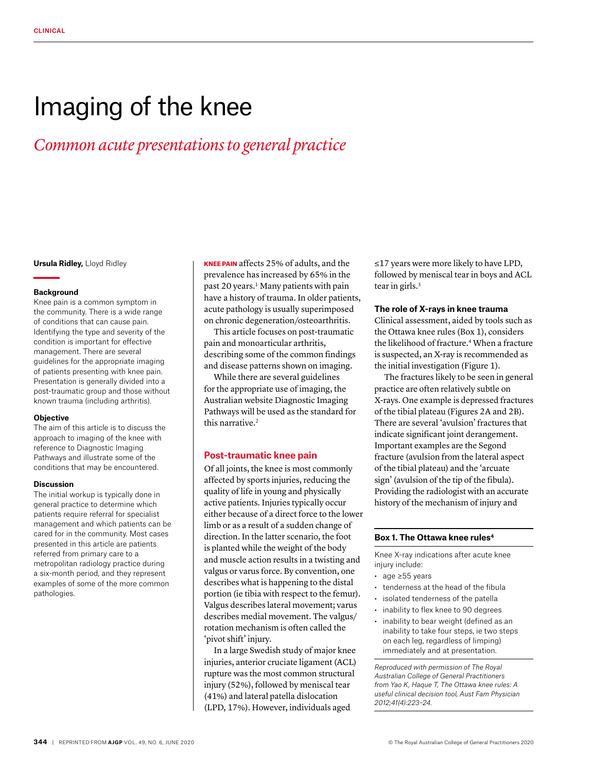# Imaging of the knee

# *Common acute presentations to general practice*

**Ursula Ridley,** Lloyd Ridley

#### **Background**

Knee pain is a common symptom in the community. There is a wide range of conditions that can cause pain. Identifying the type and severity of the condition is important for effective management. There are several guidelines for the appropriate imaging of patients presenting with knee pain. Presentation is generally divided into a post-traumatic group and those without known trauma (including arthritis).

#### **Objective**

The aim of this article is to discuss the approach to imaging of the knee with reference to Diagnostic Imaging Pathways and illustrate some of the conditions that may be encountered.

#### **Discussion**

The initial workup is typically done in general practice to determine which patients require referral for specialist management and which patients can be cared for in the community. Most cases presented in this article are patients referred from primary care to a metropolitan radiology practice during a six-month period, and they represent examples of some of the more common pathologies.

KNEE PAIN affects 25% of adults, and the prevalence has increased by 65% in the past 20 years.<sup>1</sup> Many patients with pain have a history of trauma. In older patients, acute pathology is usually superimposed on chronic degeneration/osteoarthritis.

This article focuses on post-traumatic pain and monoarticular arthritis, describing some of the common findings and disease patterns shown on imaging.

While there are several guidelines for the appropriate use of imaging, the Australian website Diagnostic Imaging Pathways will be used as the standard for this narrative.2

#### **Post-traumatic knee pain**

Of all joints, the knee is most commonly affected by sports injuries, reducing the quality of life in young and physically active patients. Injuries typically occur either because of a direct force to the lower limb or as a result of a sudden change of direction. In the latter scenario, the foot is planted while the weight of the body and muscle action results in a twisting and valgus or varus force. By convention, one describes what is happening to the distal portion (ie tibia with respect to the femur). Valgus describes lateral movement; varus describes medial movement. The valgus/ rotation mechanism is often called the 'pivot shift' injury.

In a large Swedish study of major knee injuries, anterior cruciate ligament (ACL) rupture was the most common structural injury (52%), followed by meniscal tear (41%) and lateral patella dislocation (LPD, 17%). However, individuals aged

≤17 years were more likely to have LPD, followed by meniscal tear in boys and ACL tear in girls.<sup>3</sup>

### **The role of X-rays in knee trauma**

Clinical assessment, aided by tools such as the Ottawa knee rules (Box 1), considers the likelihood of fracture.<sup>4</sup> When a fracture is suspected, an X-ray is recommended as the initial investigation (Figure 1).

The fractures likely to be seen in general practice are often relatively subtle on X-rays. One example is depressed fractures of the tibial plateau (Figures 2A and 2B). There are several 'avulsion' fractures that indicate significant joint derangement. Important examples are the Segond fracture (avulsion from the lateral aspect of the tibial plateau) and the 'arcuate sign' (avulsion of the tip of the fibula). Providing the radiologist with an accurate history of the mechanism of injury and

# **Box 1. The Ottawa knee rules4**

Knee X-ray indications after acute knee injury include:

- age ≥55 years
- tenderness at the head of the fibula
- isolated tenderness of the patella
- inability to flex knee to 90 degrees
- inability to bear weight (defined as an inability to take four steps, ie two steps on each leg, regardless of limping) immediately and at presentation.

*Reproduced with permission of The Royal Australian College of General Practitioners from Yao K, Haque T, The Ottawa knee rules: A useful clinical decision tool, Aust Fam Physician 2012;41(4):223–24.*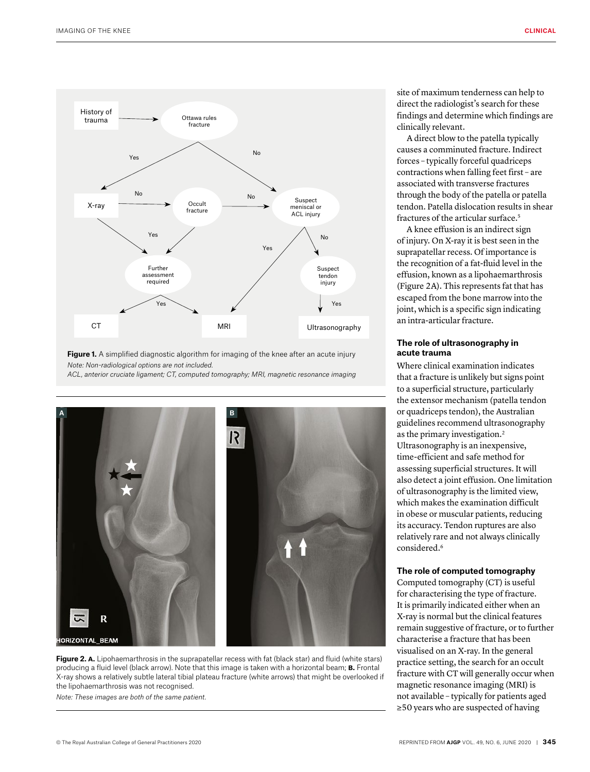

**Figure 1.** A simplified diagnostic algorithm for imaging of the knee after an acute injury *Note: Non-radiological options are not included. ACL, anterior cruciate ligament; CT, computed tomography; MRI, magnetic resonance imaging*



**Figure 2. A.** Lipohaemarthrosis in the suprapatellar recess with fat (black star) and fluid (white stars) producing a fluid level (black arrow). Note that this image is taken with a horizontal beam; **b.** Frontal X-ray shows a relatively subtle lateral tibial plateau fracture (white arrows) that might be overlooked if the lipohaemarthrosis was not recognised.

*Note: These images are both of the same patient.*

site of maximum tenderness can help to direct the radiologist's search for these findings and determine which findings are clinically relevant.

A direct blow to the patella typically causes a comminuted fracture. Indirect forces – typically forceful quadriceps contractions when falling feet first – are associated with transverse fractures through the body of the patella or patella tendon. Patella dislocation results in shear fractures of the articular surface.<sup>5</sup>

A knee effusion is an indirect sign of injury. On X-ray it is best seen in the suprapatellar recess. Of importance is the recognition of a fat-fluid level in the effusion, known as a lipohaemarthrosis (Figure 2A). This represents fat that has escaped from the bone marrow into the joint, which is a specific sign indicating an intra-articular fracture.

# **The role of ultrasonography in acute trauma**

Where clinical examination indicates that a fracture is unlikely but signs point to a superficial structure, particularly the extensor mechanism (patella tendon or quadriceps tendon), the Australian guidelines recommend ultrasonography as the primary investigation.2 Ultrasonography is an inexpensive, time-efficient and safe method for assessing superficial structures. It will also detect a joint effusion. One limitation of ultrasonography is the limited view, which makes the examination difficult in obese or muscular patients, reducing its accuracy. Tendon ruptures are also relatively rare and not always clinically considered.6

#### **The role of computed tomography**

Computed tomography (CT) is useful for characterising the type of fracture. It is primarily indicated either when an X-ray is normal but the clinical features remain suggestive of fracture, or to further characterise a fracture that has been visualised on an X-ray. In the general practice setting, the search for an occult fracture with CT will generally occur when magnetic resonance imaging (MRI) is not available – typically for patients aged ≥50 years who are suspected of having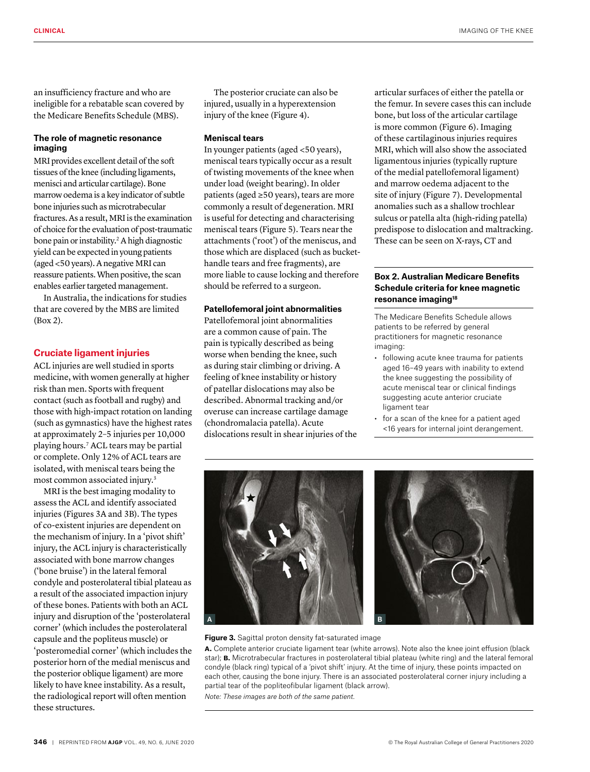an insufficiency fracture and who are ineligible for a rebatable scan covered by the Medicare Benefits Schedule (MBS).

# **The role of magnetic resonance imaging**

MRI provides excellent detail of the soft tissues of the knee (including ligaments, menisci and articular cartilage). Bone marrow oedema is a key indicator of subtle bone injuries such as microtrabecular fractures. As a result, MRI is the examination of choice for the evaluation of post-traumatic bone pain or instability.2 A high diagnostic yield can be expected in young patients (aged <50 years). A negative MRI can reassure patients. When positive, the scan enables earlier targeted management.

In Australia, the indications for studies that are covered by the MBS are limited (Box 2).

# **Cruciate ligament injuries**

ACL injuries are well studied in sports medicine, with women generally at higher risk than men. Sports with frequent contact (such as football and rugby) and those with high-impact rotation on landing (such as gymnastics) have the highest rates at approximately 2–5 injuries per 10,000 playing hours.7 ACL tears may be partial or complete. Only 12% of ACL tears are isolated, with meniscal tears being the most common associated injury.3

MRI is the best imaging modality to assess the ACL and identify associated injuries (Figures 3A and 3B). The types of co-existent injuries are dependent on the mechanism of injury. In a 'pivot shift' injury, the ACL injury is characteristically associated with bone marrow changes ('bone bruise') in the lateral femoral condyle and posterolateral tibial plateau as a result of the associated impaction injury of these bones. Patients with both an ACL injury and disruption of the 'posterolateral corner' (which includes the posterolateral capsule and the popliteus muscle) or 'posteromedial corner' (which includes the posterior horn of the medial meniscus and the posterior oblique ligament) are more likely to have knee instability. As a result, the radiological report will often mention these structures.

The posterior cruciate can also be injured, usually in a hyperextension injury of the knee (Figure 4).

#### **Meniscal tears**

In younger patients (aged <50 years), meniscal tears typically occur as a result of twisting movements of the knee when under load (weight bearing). In older patients (aged ≥50 years), tears are more commonly a result of degeneration. MRI is useful for detecting and characterising meniscal tears (Figure 5). Tears near the attachments ('root') of the meniscus, and those which are displaced (such as buckethandle tears and free fragments), are more liable to cause locking and therefore should be referred to a surgeon.

#### **Patellofemoral joint abnormalities**

Patellofemoral joint abnormalities are a common cause of pain. The pain is typically described as being worse when bending the knee, such as during stair climbing or driving. A feeling of knee instability or history of patellar dislocations may also be described. Abnormal tracking and/or overuse can increase cartilage damage (chondromalacia patella). Acute dislocations result in shear injuries of the articular surfaces of either the patella or the femur. In severe cases this can include bone, but loss of the articular cartilage is more common (Figure 6). Imaging of these cartilaginous injuries requires MRI, which will also show the associated ligamentous injuries (typically rupture of the medial patellofemoral ligament) and marrow oedema adjacent to the site of injury (Figure 7). Developmental anomalies such as a shallow trochlear sulcus or patella alta (high-riding patella) predispose to dislocation and maltracking. These can be seen on X-rays, CT and

# **Box 2. Australian Medicare Benefits Schedule criteria for knee magnetic resonance imaging18**

The Medicare Benefits Schedule allows patients to be referred by general practitioners for magnetic resonance imaging:

- following acute knee trauma for patients aged 16–49 years with inability to extend the knee suggesting the possibility of acute meniscal tear or clinical findings suggesting acute anterior cruciate ligament tear
- for a scan of the knee for a patient aged <16 years for internal joint derangement.



**Figure 3.** Sagittal proton density fat-saturated image

**a.** Complete anterior cruciate ligament tear (white arrows). Note also the knee joint effusion (black star); **b.** Microtrabecular fractures in posterolateral tibial plateau (white ring) and the lateral femoral condyle (black ring) typical of a 'pivot shift' injury. At the time of injury, these points impacted on each other, causing the bone injury. There is an associated posterolateral corner injury including a partial tear of the popliteofibular ligament (black arrow).

*Note: These images are both of the same patient.*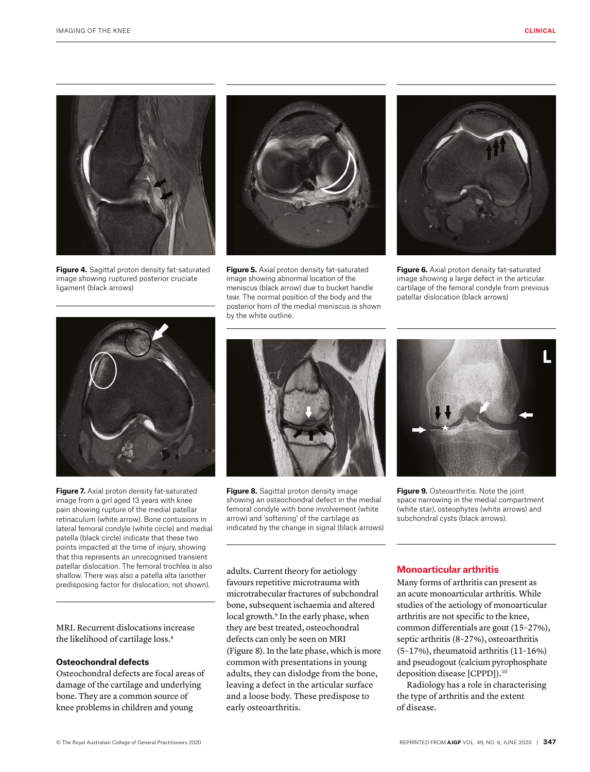

**Figure 4.** Sagittal proton density fat-saturated image showing ruptured posterior cruciate ligament (black arrows)



**Figure 5.** Axial proton density fat-saturated image showing abnormal location of the meniscus (black arrow) due to bucket handle tear. The normal position of the body and the posterior horn of the medial meniscus is shown by the white outline.



**Figure 6.** Axial proton density fat-saturated image showing a large defect in the articular cartilage of the femoral condyle from previous patellar dislocation (black arrows)



**Figure 7.** Axial proton density fat-saturated image from a girl aged 13 years with knee pain showing rupture of the medial patellar retinaculum (white arrow). Bone contusions in lateral femoral condyle (white circle) and medial patella (black circle) indicate that these two points impacted at the time of injury, showing that this represents an unrecognised transient patellar dislocation. The femoral trochlea is also shallow. There was also a patella alta (another predisposing factor for dislocation; not shown).

MRI. Recurrent dislocations increase the likelihood of cartilage loss.<sup>8</sup>

# **Osteochondral defects**

Osteochondral defects are focal areas of damage of the cartilage and underlying bone. They are a common source of knee problems in children and young



**Figure 8.** Sagittal proton density image showing an osteochondral defect in the medial femoral condyle with bone involvement (white arrow) and 'softening' of the cartilage as indicated by the change in signal (black arrows)



**Figure 9.** Osteoarthritis. Note the joint space narrowing in the medial compartment (white star), osteophytes (white arrows) and subchondral cysts (black arrows).

adults. Current theory for aetiology favours repetitive microtrauma with microtrabecular fractures of subchondral bone, subsequent ischaemia and altered local growth.<sup>9</sup> In the early phase, when they are best treated, osteochondral defects can only be seen on MRI (Figure 8). In the late phase, which is more common with presentations in young adults, they can dislodge from the bone, leaving a defect in the articular surface and a loose body. These predispose to early osteoarthritis.

# **Monoarticular arthritis**

Many forms of arthritis can present as an acute monoarticular arthritis. While studies of the aetiology of monoarticular arthritis are not specific to the knee, common differentials are gout (15–27%), septic arthritis (8–27%), osteoarthritis (5–17%), rheumatoid arthritis (11–16%) and pseudogout (calcium pyrophosphate deposition disease [CPPD]).<sup>10</sup>

Radiology has a role in characterising the type of arthritis and the extent of disease.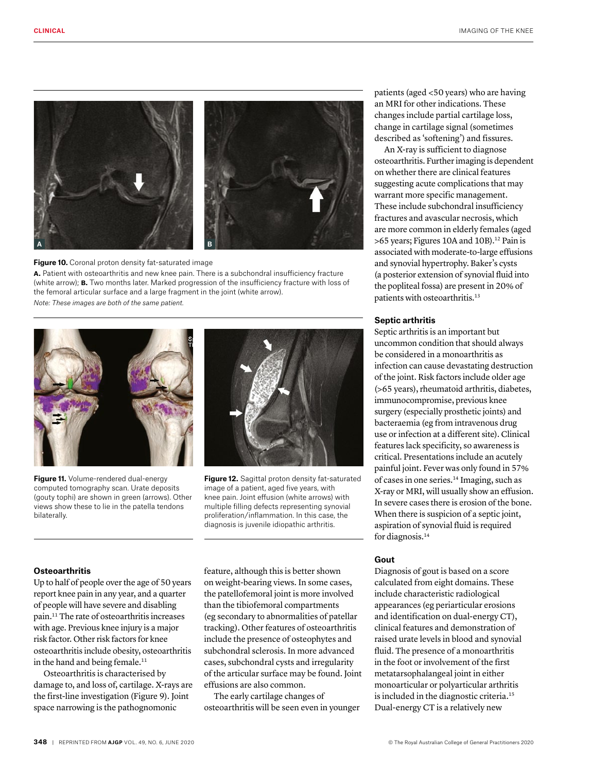

#### **Figure 10.** Coronal proton density fat-saturated image **a.** Patient with osteoarthritis and new knee pain. There is a subchondral insufficiency fracture (white arrow); **b.** Two months later. Marked progression of the insufficiency fracture with loss of the femoral articular surface and a large fragment in the joint (white arrow). *Note: These images are both of the same patient.*



**Figure 11.** Volume-rendered dual-energy computed tomography scan. Urate deposits (gouty tophi) are shown in green (arrows). Other views show these to lie in the patella tendons bilaterally.



**Figure 12.** Sagittal proton density fat-saturated image of a patient, aged five years, with knee pain. Joint effusion (white arrows) with multiple filling defects representing synovial proliferation/inflammation. In this case, the diagnosis is juvenile idiopathic arthritis.

#### **Osteoarthritis**

Up to half of people over the age of 50 years report knee pain in any year, and a quarter of people will have severe and disabling pain.11 The rate of osteoarthritis increases with age. Previous knee injury is a major risk factor. Other risk factors for knee osteoarthritis include obesity, osteoarthritis in the hand and being female.<sup>11</sup>

Osteoarthritis is characterised by damage to, and loss of, cartilage. X-rays are the first-line investigation (Figure 9). Joint space narrowing is the pathognomonic

feature, although this is better shown on weight-bearing views. In some cases, the patellofemoral joint is more involved than the tibiofemoral compartments (eg secondary to abnormalities of patellar tracking). Other features of osteoarthritis include the presence of osteophytes and subchondral sclerosis. In more advanced cases, subchondral cysts and irregularity of the articular surface may be found. Joint effusions are also common.

The early cartilage changes of osteoarthritis will be seen even in younger patients (aged <50 years) who are having an MRI for other indications. These changes include partial cartilage loss, change in cartilage signal (sometimes described as 'softening') and fissures.

An X-ray is sufficient to diagnose osteoarthritis. Further imaging is dependent on whether there are clinical features suggesting acute complications that may warrant more specific management. These include subchondral insufficiency fractures and avascular necrosis, which are more common in elderly females (aged >65 years; Figures 10A and 10B).<sup>12</sup> Pain is associated with moderate-to-large effusions and synovial hypertrophy. Baker's cysts (a posterior extension of synovial fluid into the popliteal fossa) are present in 20% of patients with osteoarthritis.<sup>13</sup>

#### **Septic arthritis**

Septic arthritis is an important but uncommon condition that should always be considered in a monoarthritis as infection can cause devastating destruction of the joint. Risk factors include older age (>65 years), rheumatoid arthritis, diabetes, immunocompromise, previous knee surgery (especially prosthetic joints) and bacteraemia (eg from intravenous drug use or infection at a different site). Clinical features lack specificity, so awareness is critical. Presentations include an acutely painful joint. Fever was only found in 57% of cases in one series.14 Imaging, such as X-ray or MRI, will usually show an effusion. In severe cases there is erosion of the bone. When there is suspicion of a septic joint, aspiration of synovial fluid is required for diagnosis.<sup>14</sup>

#### **Gout**

Diagnosis of gout is based on a score calculated from eight domains. These include characteristic radiological appearances (eg periarticular erosions and identification on dual-energy CT), clinical features and demonstration of raised urate levels in blood and synovial fluid. The presence of a monoarthritis in the foot or involvement of the first metatarsophalangeal joint in either monoarticular or polyarticular arthritis is included in the diagnostic criteria.15 Dual-energy CT is a relatively new